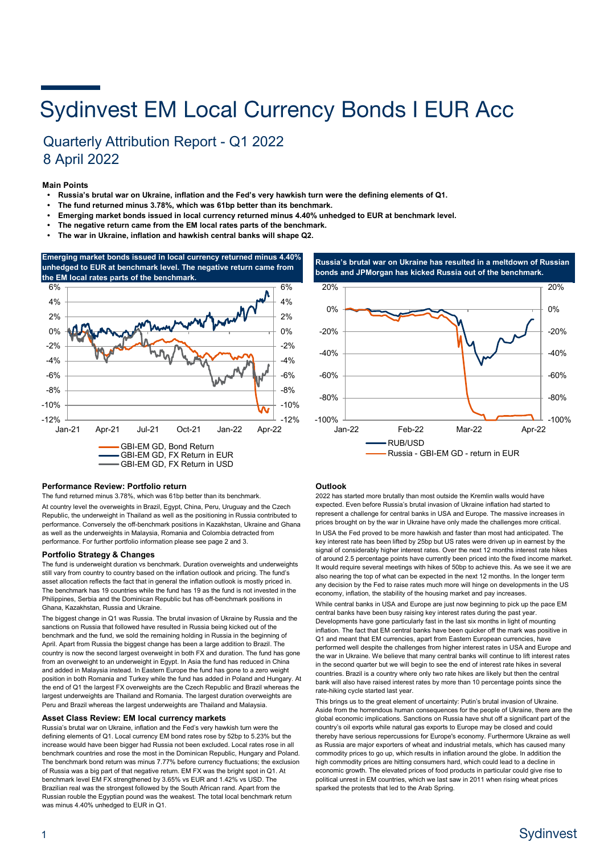# **Sydinvest EM Local Currency Bonds I EUR Acc**

## Quarterly Attribution Report - Q1 2022 8 April 2022

## **Main Points**

- **Russia's brutal war on Ukraine, inflation and the Fed's very hawkish turn were the defining elements of Q1.**
- **• The fund returned minus 3.78%, which was 61bp better than its benchmark.**
- **• Emerging market bonds issued in local currency returned minus 4.40% unhedged to EUR at benchmark level.**
- **• The negative return came from the EM local rates parts of the benchmark.**
- **• The war in Ukraine, inflation and hawkish central banks will shape Q2.**







## **Performance Review: Portfolio return**

The fund returned minus 3.78%, which was 61bp better than its benchmark. At country level the overweights in Brazil, Egypt, China, Peru, Uruguay and the Czech Republic, the underweight in Thailand as well as the positioning in Russia contributed to performance. Conversely the off-benchmark positions in Kazakhstan, Ukraine and Ghana as well as the underweights in Malaysia, Romania and Colombia detracted from performance. For further portfolio information please see page 2 and 3.

## **Portfolio Strategy & Changes**

The fund is underweight duration vs benchmark. Duration overweights and underweights still vary from country to country based on the inflation outlook and pricing. The fund's asset allocation reflects the fact that in general the inflation outlook is mostly priced in. The benchmark has 19 countries while the fund has 19 as the fund is not invested in the Philippines, Serbia and the Dominican Republic but has off-benchmark positions in Ghana, Kazakhstan, Russia and Ukraine.

The biggest change in Q1 was Russia. The brutal invasion of Ukraine by Russia and the sanctions on Russia that followed have resulted in Russia being kicked out of the benchmark and the fund, we sold the remaining holding in Russia in the beginning of April. Apart from Russia the biggest change has been a large addition to Brazil. The country is now the second largest overweight in both FX and duration. The fund has gone from an overweight to an underweight in Egypt. In Asia the fund has reduced in China and added in Malaysia instead. In Eastern Europe the fund has gone to a zero weight position in both Romania and Turkey while the fund has added in Poland and Hungary. At the end of Q1 the largest FX overweights are the Czech Republic and Brazil whereas the largest underweights are Thailand and Romania. The largest duration overweights are Peru and Brazil whereas the largest underweights are Thailand and Malaysia.

## **Asset Class Review: EM local currency markets**

Russia's brutal war on Ukraine, inflation and the Fed's very hawkish turn were the defining elements of Q1. Local currency EM bond rates rose by 52bp to 5.23% but the increase would have been bigger had Russia not been excluded. Local rates rose in all benchmark countries and rose the most in the Dominican Republic, Hungary and Poland. The benchmark bond return was minus 7.77% before currency fluctuations; the exclusion of Russia was a big part of that negative return. EM FX was the bright spot in Q1. At benchmark level EM FX strengthened by 3.65% vs EUR and 1.42% vs USD. The Brazilian real was the strongest followed by the South African rand. Apart from the Russian rouble the Egyptian pound was the weakest. The total local benchmark return was minus 4.40% unhedged to EUR in Q1.

## **Outlook**

2022 has started more brutally than most outside the Kremlin walls would have expected. Even before Russia's brutal invasion of Ukraine inflation had started to represent a challenge for central banks in USA and Europe. The massive increases in prices brought on by the war in Ukraine have only made the challenges more critical. In USA the Fed proved to be more hawkish and faster than most had anticipated. The key interest rate has been lifted by 25bp but US rates were driven up in earnest by the signal of considerably higher interest rates. Over the next 12 months interest rate hikes of around 2.5 percentage points have currently been priced into the fixed income market. It would require several meetings with hikes of 50bp to achieve this. As we see it we are also nearing the top of what can be expected in the next 12 months. In the longer term any decision by the Fed to raise rates much more will hinge on developments in the US economy, inflation, the stability of the housing market and pay increases.

While central banks in USA and Europe are just now beginning to pick up the pace EM central banks have been busy raising key interest rates during the past year. Developments have gone particularly fast in the last six months in light of mounting inflation. The fact that EM central banks have been quicker off the mark was positive in Q1 and meant that EM currencies, apart from Eastern European currencies, have performed well despite the challenges from higher interest rates in USA and Europe and the war in Ukraine. We believe that many central banks will continue to lift interest rates in the second quarter but we will begin to see the end of interest rate hikes in several countries. Brazil is a country where only two rate hikes are likely but then the central bank will also have raised interest rates by more than 10 percentage points since the rate-hiking cycle started last year.

This brings us to the great element of uncertainty: Putin's brutal invasion of Ukraine. Aside from the horrendous human consequences for the people of Ukraine, there are the global economic implications. Sanctions on Russia have shut off a significant part of the country's oil exports while natural gas exports to Europe may be closed and could thereby have serious repercussions for Europe's economy. Furthermore Ukraine as well as Russia are major exporters of wheat and industrial metals, which has caused many commodity prices to go up, which results in inflation around the globe. In addition the high commodity prices are hitting consumers hard, which could lead to a decline in economic growth. The elevated prices of food products in particular could give rise to political unrest in EM countries, which we last saw in 2011 when rising wheat prices sparked the protests that led to the Arab Spring.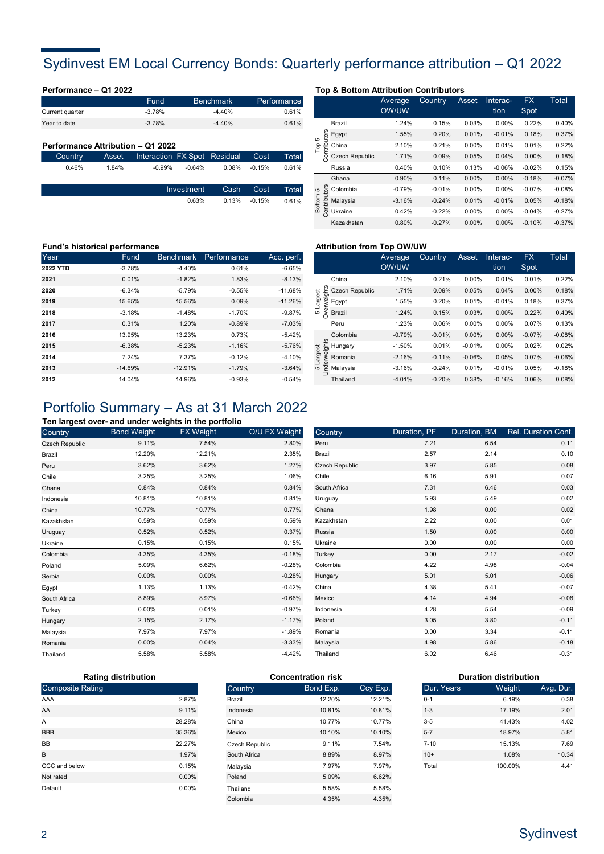# Sydinvest EM Local Currency Bonds: Quarterly performance attribution – Q1 2022

| Performance - Q1 2022             |       |                              |            |                              |          |                      | <b>Top &amp; Bottom Attribution Contributors</b> |                  |                |    |
|-----------------------------------|-------|------------------------------|------------|------------------------------|----------|----------------------|--------------------------------------------------|------------------|----------------|----|
| Current quarter                   |       | Fund<br>$-3.78%$             |            | <b>Benchmark</b><br>$-4.40%$ |          | Performance<br>0.61% |                                                  | Average<br>OW/UW | <b>Country</b> | A٤ |
| Year to date                      |       | $-3.78%$                     |            | $-4.40%$                     |          | 0.61%                | Brazil                                           | 1.24%            | 0.15%          |    |
|                                   |       |                              |            |                              |          |                      | Egypt<br>효<br>5                                  | 1.55%            | 0.20%          |    |
| Performance Attribution - Q1 2022 |       |                              |            |                              |          |                      | China<br>은<br>န                                  | 2.10%            | 0.21%          |    |
| Country                           | Asset | Interaction FX Spot Residual |            |                              | Cost     | Total                | <b>Czech Republic</b><br>홌                       | 1.71%            | 0.09%          |    |
| 0.46%                             | 1.84% | $-0.99%$                     | $-0.64%$   | $0.08\%$                     | $-0.15%$ | 0.61%                | Russia                                           | 0.40%            | 0.10%          |    |
|                                   |       |                              |            |                              |          |                      | Ghana                                            | 0.90%            | 0.11%          |    |
|                                   |       |                              | Investment | Cash                         | Cost     | <b>Total</b>         | g Colombia<br>5                                  | $-0.79%$         | $-0.01%$       |    |

0.63%

Total 0.61% Cost -0.15% 0.13% Cash

|                        |                       | Average<br><b>OW/UW</b> | Country  | Asset    | Interac-<br>tion | <b>FX</b><br>Spot | Total    |
|------------------------|-----------------------|-------------------------|----------|----------|------------------|-------------------|----------|
|                        | Brazil                | 1.24%                   | 0.15%    | 0.03%    | 0.00%            | 0.22%             | 0.40%    |
| 5                      | Egypt                 | 1.55%                   | 0.20%    | 0.01%    | $-0.01%$         | 0.18%             | 0.37%    |
| Top                    | China                 | 2.10%                   | 0.21%    | $0.00\%$ | 0.01%            | 0.01%             | 0.22%    |
| Contributors           | <b>Czech Republic</b> | 1.71%                   | 0.09%    | 0.05%    | 0.04%            | $0.00\%$          | 0.18%    |
|                        | Russia                | 0.40%                   | 0.10%    | 0.13%    | $-0.06%$         | $-0.02%$          | 0.15%    |
|                        | Ghana                 | 0.90%                   | 0.11%    | 0.00%    | 0.00%            | $-0.18%$          | $-0.07%$ |
| 5                      | Colombia              | $-0.79%$                | $-0.01%$ | 0.00%    | 0.00%            | $-0.07%$          | $-0.08%$ |
| Contributors<br>Bottom | Malaysia              | $-3.16%$                | $-0.24%$ | 0.01%    | $-0.01%$         | 0.05%             | $-0.18%$ |
|                        | Ukraine               | 0.42%                   | $-0.22%$ | $0.00\%$ | $0.00\%$         | $-0.04%$          | $-0.27%$ |
|                        | Kazakhstan            | 0.80%                   | $-0.27%$ | 0.00%    | $0.00\%$         | $-0.10%$          | $-0.37%$ |

## **Fund's historical performance and the set of the set of the Attribution from Top OW/UW <b>Fund**

| Year     | Fund      | Benchmark | Performance | Acc. perf. |        |                                                    | Average  | <b>Country</b> | Asset    | Interac- | <b>FX</b> | Total    |
|----------|-----------|-----------|-------------|------------|--------|----------------------------------------------------|----------|----------------|----------|----------|-----------|----------|
| 2022 YTD | $-3.78%$  | $-4.40%$  | 0.61%       | $-6.65%$   |        |                                                    | OW/UW    |                |          | tion     | Spot      |          |
| 2021     | 0.01%     | $-1.82%$  | 1.83%       | $-8.13%$   |        | China                                              | 2.10%    | 0.21%          | 0.00%    | 0.01%    | 0.01%     | 0.22%    |
| 2020     | $-6.34%$  | $-5.79%$  | $-0.55%$    | $-11.68%$  |        | $\frac{1}{10}$ $\stackrel{?}{\sim}$ Czech Republic | 1.71%    | 0.09%          | 0.05%    | 0.04%    | $0.00\%$  | 0.18%    |
| 2019     | 15.65%    | 15.56%    | 0.09%       | $-11.26%$  | ದ<br>ದ | Egypt                                              | 1.55%    | 0.20%          | 0.01%    | $-0.01%$ | 0.18%     | 0.37%    |
| 2018     | $-3.18%$  | $-1.48%$  | $-1.70%$    | $-9.87%$   | ≶ ∾    | Brazil                                             | 1.24%    | 0.15%          | 0.03%    | $0.00\%$ | 0.22%     | 0.40%    |
| 2017     | 0.31%     | 1.20%     | $-0.89%$    | $-7.03%$   |        | Peru                                               | 1.23%    | 0.06%          | 0.00%    | $0.00\%$ | 0.07%     | 0.13%    |
| 2016     | 13.95%    | 13.23%    | 0.73%       | $-5.42%$   |        | Colombia                                           | $-0.79%$ | $-0.01%$       | 0.00%    | $0.00\%$ | $-0.07%$  | $-0.08%$ |
| 2015     | $-6.38%$  | $-5.23%$  | $-1.16%$    | $-5.76%$   | 5      | 등 Hungary                                          | $-1.50%$ | 0.01%          | $-0.01%$ | $0.00\%$ | 0.02%     | 0.02%    |
| 2014     | 7.24%     | 7.37%     | $-0.12%$    | $-4.10%$   |        | Romania                                            | $-2.16%$ | $-0.11%$       | $-0.06%$ | 0.05%    | 0.07%     | $-0.06%$ |
| 2013     | $-14.69%$ | $-12.91%$ | $-1.79%$    | $-3.64%$   | 5      | Malaysia                                           | $-3.16%$ | $-0.24%$       | 0.01%    | $-0.01%$ | 0.05%     | $-0.18%$ |
| 2012     | 14.04%    | 14.96%    | $-0.93%$    | $-0.54%$   |        | Thailand                                           | $-4.01%$ | $-0.20%$       | 0.38%    | $-0.16%$ | 0.06%     | 0.08%    |

|                           |                | Average<br><b>OW/UW</b> | Country  | Asset    | Interac-<br>tion | <b>FX</b><br>Spot | Total    |
|---------------------------|----------------|-------------------------|----------|----------|------------------|-------------------|----------|
|                           | China          | 2.10%                   | 0.21%    | 0.00%    | 0.01%            | 0.01%             | 0.22%    |
|                           | Czech Republic | 1.71%                   | 0.09%    | 0.05%    | 0.04%            | 0.00%             | 0.18%    |
| rweights<br>Largest       | Egypt          | 1.55%                   | 0.20%    | 0.01%    | $-0.01%$         | 0.18%             | 0.37%    |
| <b>Dyer</b><br>5          | Brazil         | 1.24%                   | 0.15%    | 0.03%    | 0.00%            | 0.22%             | 0.40%    |
|                           | Peru           | 1.23%                   | 0.06%    | 0.00%    | 0.00%            | 0.07%             | 0.13%    |
|                           | Colombia       | $-0.79%$                | $-0.01%$ | 0.00%    | 0.00%            | $-0.07%$          | $-0.08%$ |
|                           | Hungary        | $-1.50%$                | 0.01%    | $-0.01%$ | 0.00%            | 0.02%             | 0.02%    |
| Inderweights<br>5 Largest | Romania        | $-2.16%$                | $-0.11%$ | $-0.06%$ | 0.05%            | 0.07%             | $-0.06%$ |
|                           | Malaysia       | $-3.16%$                | $-0.24%$ | 0.01%    | $-0.01%$         | 0.05%             | $-0.18%$ |
|                           | Thailand       | $-4.01%$                | $-0.20%$ | 0.38%    | $-0.16%$         | 0.06%             | 0.08%    |

# Portfolio Summary – As at 31 March 2022

## **Ten largest over- and under weights in the portfolio**

| Country               | <b>Bond Weight</b> | <b>FX Weight</b> | O/U FX Weight | Country    |
|-----------------------|--------------------|------------------|---------------|------------|
| <b>Czech Republic</b> | 9.11%              | 7.54%            | 2.80%         | Peru       |
| Brazil                | 12.20%             | 12.21%           | 2.35%         | Brazil     |
| Peru                  | 3.62%              | 3.62%            | 1.27%         | Czech Re   |
| Chile                 | 3.25%              | 3.25%            | 1.06%         | Chile      |
| Ghana                 | 0.84%              | 0.84%            | 0.84%         | South Afri |
| Indonesia             | 10.81%             | 10.81%           | 0.81%         | Uruguay    |
| China                 | 10.77%             | 10.77%           | 0.77%         | Ghana      |
| Kazakhstan            | 0.59%              | 0.59%            | 0.59%         | Kazakhsta  |
| Uruguay               | 0.52%              | 0.52%            | 0.37%         | Russia     |
| Ukraine               | 0.15%              | 0.15%            | 0.15%         | Ukraine    |
| Colombia              | 4.35%              | 4.35%            | $-0.18%$      | Turkey     |
| Poland                | 5.09%              | 6.62%            | $-0.28%$      | Colombia   |
| Serbia                | 0.00%              | $0.00\%$         | $-0.28%$      | Hungary    |
| Egypt                 | 1.13%              | 1.13%            | $-0.42%$      | China      |
| South Africa          | 8.89%              | 8.97%            | $-0.66%$      | Mexico     |
| Turkey                | 0.00%              | 0.01%            | $-0.97%$      | Indonesia  |
| Hungary               | 2.15%              | 2.17%            | $-1.17%$      | Poland     |
| Malaysia              | 7.97%              | 7.97%            | $-1.89%$      | Romania    |
| Romania               | 0.00%              | 0.04%            | $-3.33%$      | Malaysia   |
| Thailand              | 5.58%              | 5.58%            | $-4.42%$      | Thailand   |

| /eight   | Country        | Duration, PF | Duration, BM | Rel. Duration Cont. |
|----------|----------------|--------------|--------------|---------------------|
| 2.80%    | Peru           | 7.21         | 6.54         | 0.11                |
| 2.35%    | Brazil         | 2.57         | 2.14         | 0.10                |
| 1.27%    | Czech Republic | 3.97         | 5.85         | 0.08                |
| 1.06%    | Chile          | 6.16         | 5.91         | 0.07                |
| 0.84%    | South Africa   | 7.31         | 6.46         | 0.03                |
| 0.81%    | Uruguay        | 5.93         | 5.49         | 0.02                |
| 0.77%    | Ghana          | 1.98         | 0.00         | 0.02                |
| 0.59%    | Kazakhstan     | 2.22         | 0.00         | 0.01                |
| 0.37%    | Russia         | 1.50         | 0.00         | 0.00                |
| 0.15%    | Ukraine        | 0.00         | 0.00         | 0.00                |
| $-0.18%$ | Turkey         | 0.00         | 2.17         | $-0.02$             |
| $-0.28%$ | Colombia       | 4.22         | 4.98         | $-0.04$             |
| $-0.28%$ | Hungary        | 5.01         | 5.01         | $-0.06$             |
| $-0.42%$ | China          | 4.38         | 5.41         | $-0.07$             |
| $-0.66%$ | Mexico         | 4.14         | 4.94         | $-0.08$             |
| $-0.97%$ | Indonesia      | 4.28         | 5.54         | $-0.09$             |
| $-1.17%$ | Poland         | 3.05         | 3.80         | $-0.11$             |
| $-1.89%$ | Romania        | 0.00         | 3.34         | $-0.11$             |
| $-3.33%$ | Malaysia       | 4.98         | 5.86         | $-0.18$             |
| $-4.42%$ | Thailand       | 6.02         | 6.46         | $-0.31$             |

| <b>Rating distribution</b> |          |  |  |  |  |
|----------------------------|----------|--|--|--|--|
| <b>Composite Rating</b>    |          |  |  |  |  |
| AAA                        | 2.87%    |  |  |  |  |
| AA                         | 9.11%    |  |  |  |  |
| A                          | 28.28%   |  |  |  |  |
| <b>BBB</b>                 | 35.36%   |  |  |  |  |
| <b>BB</b>                  | 22.27%   |  |  |  |  |
| B                          | 1.97%    |  |  |  |  |
| CCC and below              | 0.15%    |  |  |  |  |
| Not rated                  | $0.00\%$ |  |  |  |  |
| Default                    | $0.00\%$ |  |  |  |  |

| Country               | Bond Exp. | Ccy Exp. |
|-----------------------|-----------|----------|
| Brazil                | 12.20%    | 12.21%   |
| Indonesia             | 10.81%    | 10.81%   |
| China                 | 10 77%    | 10.77%   |
| Mexico                | 10.10%    | 10.10%   |
| <b>Czech Republic</b> | 9.11%     | 7.54%    |
| South Africa          | 8.89%     | 8.97%    |
| Malaysia              | 7.97%     | 7.97%    |
| Poland                | 5.09%     | 6.62%    |
| Thailand              | 5.58%     | 5.58%    |
| Colombia              | 4.35%     | 4.35%    |
|                       |           |          |

| <b>Duration distribution</b> |         |           |  |  |  |  |
|------------------------------|---------|-----------|--|--|--|--|
| Dur. Years                   | Weight  | Avg. Dur. |  |  |  |  |
| $0 - 1$                      | 6.19%   | 0.38      |  |  |  |  |
| $1 - 3$                      | 17.19%  | 2.01      |  |  |  |  |
| $3-5$                        | 41.43%  | 4.02      |  |  |  |  |
| $5 - 7$                      | 18.97%  | 5.81      |  |  |  |  |
| $7 - 10$                     | 15.13%  | 7.69      |  |  |  |  |
| $10+$                        | 1.08%   | 10.34     |  |  |  |  |
| Total                        | 100.00% | 4.41      |  |  |  |  |